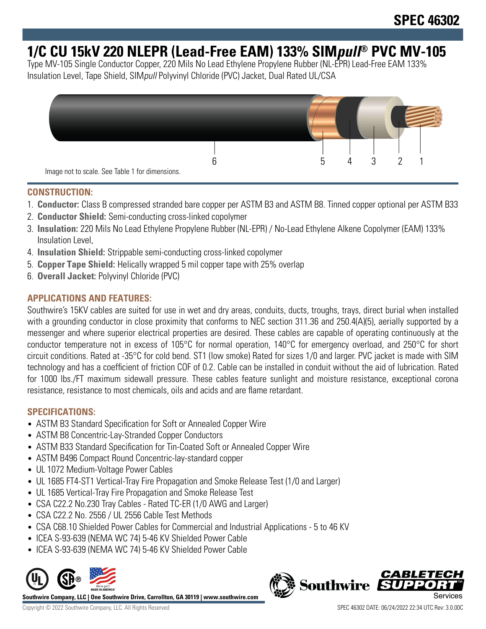# **1/C CU 15kV 220 NLEPR (Lead-Free EAM) 133% SIMpull® PVC MV-105**

Type MV-105 Single Conductor Copper, 220 Mils No Lead Ethylene Propylene Rubber (NL-EPR) Lead-Free EAM 133% Insulation Level, Tape Shield, SIMpull Polyvinyl Chloride (PVC) Jacket, Dual Rated UL/CSA



# **CONSTRUCTION:**

- 1. **Conductor:** Class B compressed stranded bare copper per ASTM B3 and ASTM B8. Tinned copper optional per ASTM B33
- 2. **Conductor Shield:** Semi-conducting cross-linked copolymer
- 3. **Insulation:** 220 Mils No Lead Ethylene Propylene Rubber (NL-EPR) / No-Lead Ethylene Alkene Copolymer (EAM) 133% Insulation Level,
- 4. **Insulation Shield:** Strippable semi-conducting cross-linked copolymer
- 5. **Copper Tape Shield:** Helically wrapped 5 mil copper tape with 25% overlap
- 6. **Overall Jacket:** Polyvinyl Chloride (PVC)

# **APPLICATIONS AND FEATURES:**

Southwire's 15KV cables are suited for use in wet and dry areas, conduits, ducts, troughs, trays, direct burial when installed with a grounding conductor in close proximity that conforms to NEC section 311.36 and 250.4(A)(5), aerially supported by a messenger and where superior electrical properties are desired. These cables are capable of operating continuously at the conductor temperature not in excess of 105°C for normal operation, 140°C for emergency overload, and 250°C for short circuit conditions. Rated at -35°C for cold bend. ST1 (low smoke) Rated for sizes 1/0 and larger. PVC jacket is made with SIM technology and has a coefficient of friction COF of 0.2. Cable can be installed in conduit without the aid of lubrication. Rated for 1000 lbs./FT maximum sidewall pressure. These cables feature sunlight and moisture resistance, exceptional corona resistance, resistance to most chemicals, oils and acids and are flame retardant.

## **SPECIFICATIONS:**

- ASTM B3 Standard Specification for Soft or Annealed Copper Wire
- ASTM B8 Concentric-Lay-Stranded Copper Conductors
- ASTM B33 Standard Specification for Tin-Coated Soft or Annealed Copper Wire
- ASTM B496 Compact Round Concentric-lay-standard copper
- UL 1072 Medium-Voltage Power Cables
- UL 1685 FT4-ST1 Vertical-Tray Fire Propagation and Smoke Release Test (1/0 and Larger)
- UL 1685 Vertical-Tray Fire Propagation and Smoke Release Test
- CSA C22.2 No.230 Tray Cables Rated TC-ER (1/0 AWG and Larger)
- CSA C22.2 No. 2556 / UL 2556 Cable Test Methods
- CSA C68.10 Shielded Power Cables for Commercial and Industrial Applications 5 to 46 KV
- ICEA S-93-639 (NEMA WC 74) 5-46 KV Shielded Power Cable
- ICEA S-93-639 (NEMA WC 74) 5-46 KV Shielded Power Cable



**Southwire Company, LLC | One Southwire Drive, Carrollton, GA 30119 | www.southwire.com**

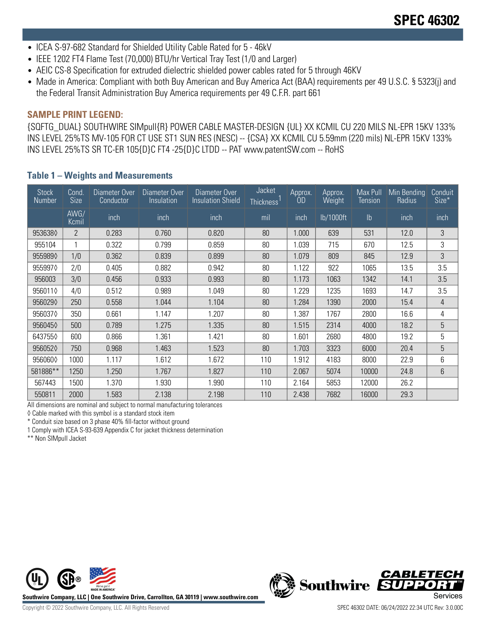- ICEA S-97-682 Standard for Shielded Utility Cable Rated for 5 46kV
- IEEE 1202 FT4 Flame Test (70,000) BTU/hr Vertical Tray Test (1/0 and Larger)
- AEIC CS-8 Specification for extruded dielectric shielded power cables rated for 5 through 46KV
- Made in America: Compliant with both Buy American and Buy America Act (BAA) requirements per 49 U.S.C. § 5323(j) and the Federal Transit Administration Buy America requirements per 49 C.F.R. part 661

### **SAMPLE PRINT LEGEND:**

{SQFTG\_DUAL} SOUTHWIRE SIMpull{R} POWER CABLE MASTER-DESIGN {UL} XX KCMIL CU 220 MILS NL-EPR 15KV 133% INS LEVEL 25%TS MV-105 FOR CT USE ST1 SUN RES (NESC) -- {CSA} XX KCMIL CU 5.59mm (220 mils) NL-EPR 15KV 133% INS LEVEL 25%TS SR TC-ER 105{D}C FT4 -25{D}C LTDD -- PAT www.patentSW.com -- RoHS

### **Table 1 – Weights and Measurements**

| Stock<br>Number | Cond.<br><b>Size</b> | Diameter Over<br>Conductor | Diameter Over<br>Insulation | Diameter Over<br><b>Insulation Shield</b> | <b>Jacket</b><br>Thickness | Approx.<br>OD | Approx.<br>Weight | Max Pull<br><b>Tension</b> | Min Bending<br>Radius | Conduit<br>Size* |
|-----------------|----------------------|----------------------------|-----------------------------|-------------------------------------------|----------------------------|---------------|-------------------|----------------------------|-----------------------|------------------|
|                 | AWG/<br>Kcmil        | inch                       | inch                        | inch                                      | mil                        | inch          | lb/1000ft         | $\mathsf{lb}$              | inch                  | inch             |
| 9536380         | $\overline{2}$       | 0.283                      | 0.760                       | 0.820                                     | 80                         | 1.000         | 639               | 531                        | 12.0                  | 3                |
| 955104          |                      | 0.322                      | 0.799                       | 0.859                                     | 80                         | 1.039         | 715               | 670                        | 12.5                  | 3                |
| 9559890         | 1/0                  | 0.362                      | 0.839                       | 80<br>0.899<br>1.079<br>809<br>845        |                            | 12.9          | 3                 |                            |                       |                  |
| 9559970         | 2/0                  | 0.405                      | 0.882                       | 0.942                                     | 80                         | 1.122         | 922               | 1065                       | 13.5                  | 3.5              |
| 956003          | 3/0                  | 0.456                      | 0.933                       | 0.993                                     | 80                         | 1.173         | 1063              | 1342                       | 14.1                  | 3.5              |
| 9560110         | 4/0                  | 0.512                      | 0.989                       | 1.049                                     | 80                         | .229          | 1235              | 1693                       | 14.7                  | 3.5              |
| 9560290         | 250                  | 0.558                      | 1.044                       | 1.104                                     | 80                         | 1.284         | 1390              | 2000                       | 15.4                  | 4                |
| 9560370         | 350                  | 0.661                      | 1.147                       | 1.207                                     | 80                         | .387          | 1767              | 2800                       | 16.6                  | 4                |
| 9560450         | 500                  | 0.789                      | 1.275                       | 1.335                                     | 80                         | 1.515         | 2314              | 4000                       | 18.2                  | 5                |
| 6437550         | 600                  | 0.866                      | 1.361                       | 1.421                                     | 80                         | .601          | 2680              | 4800                       | 19.2                  | 5                |
| 9560520         | 750                  | 0.968                      | 1.463                       | 1.523                                     | 80                         | 1.703         | 3323              | 6000                       | 20.4                  | 5                |
| 9560600         | 1000                 | 1.117                      | 1.612                       | 1.672                                     | 110                        | .912          | 4183              | 8000                       | 22.9                  | 6                |
| 581886**        | 1250                 | 1.250                      | 1.767                       | 1.827                                     | 110                        | 2.067         | 5074              | 10000                      | 24.8                  | 6                |
| 567443          | 1500                 | 1.370                      | 1.930                       | 1.990                                     | 110                        | 2.164         | 5853              | 12000                      | 26.2                  |                  |
| 550811          | 2000                 | 1.583                      | 2.138                       | 2.198                                     | 110                        | 2.438         | 7682              | 16000                      | 29.3                  |                  |

All dimensions are nominal and subject to normal manufacturing tolerances

◊ Cable marked with this symbol is a standard stock item

\* Conduit size based on 3 phase 40% fill-factor without ground

1 Comply with ICEA S-93-639 Appendix C for jacket thickness determination

\*\* Non SIMpull Jacket